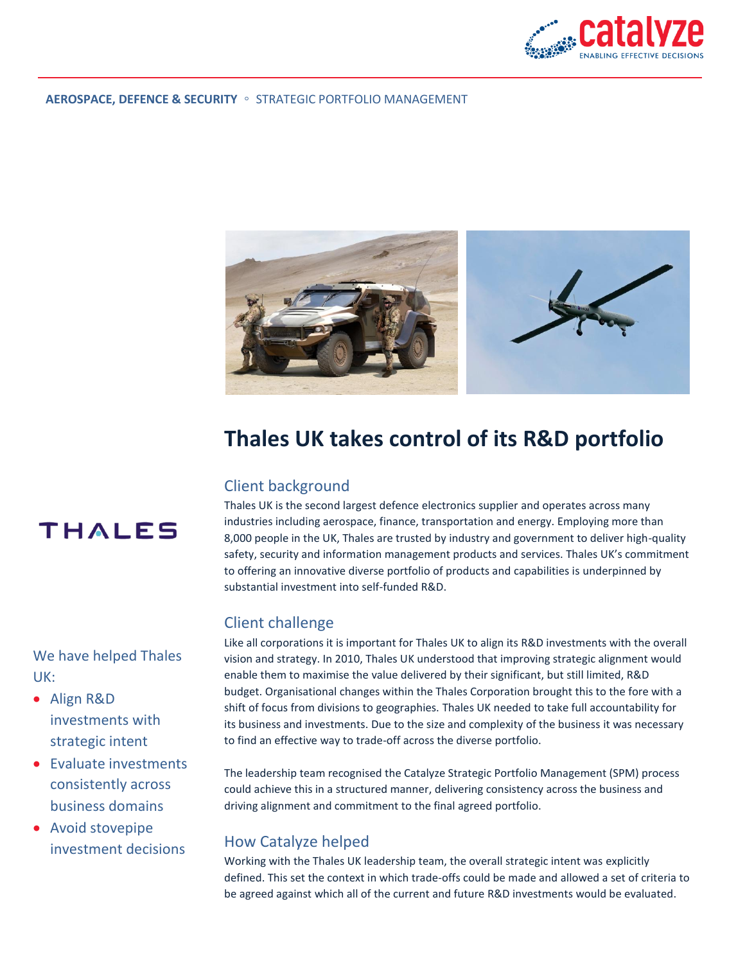

#### **AEROSPACE, DEFENCE & SECURITY** ◦ STRATEGIC PORTFOLIO MANAGEMENT



# **Thales UK takes control of its R&D portfolio**

## Client background

Thales UK is the second largest defence electronics supplier and operates across many industries including aerospace, finance, transportation and energy. Employing more than 8,000 people in the UK, Thales are trusted by industry and government to deliver high-quality safety, security and information management products and services. Thales UK's commitment to offering an innovative diverse portfolio of products and capabilities is underpinned by substantial investment into self-funded R&D.

### Client challenge

Like all corporations it is important for Thales UK to align its R&D investments with the overall vision and strategy. In 2010, Thales UK understood that improving strategic alignment would enable them to maximise the value delivered by their significant, but still limited, R&D budget. Organisational changes within the Thales Corporation brought this to the fore with a shift of focus from divisions to geographies. Thales UK needed to take full accountability for its business and investments. Due to the size and complexity of the business it was necessary to find an effective way to trade-off across the diverse portfolio.

The leadership team recognised the Catalyze Strategic Portfolio Management (SPM) process could achieve this in a structured manner, delivering consistency across the business and driving alignment and commitment to the final agreed portfolio.

## How Catalyze helped

Working with the Thales UK leadership team, the overall strategic intent was explicitly defined. This set the context in which trade-offs could be made and allowed a set of criteria to be agreed against which all of the current and future R&D investments would be evaluated.



We have helped Thales UK:

- Align R&D investments with strategic intent
- Evaluate investments consistently across business domains
- Avoid stovepipe investment decisions